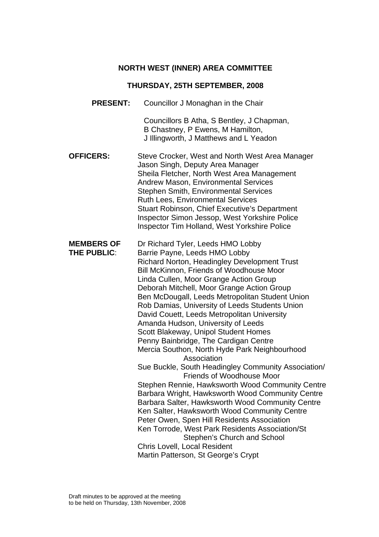# **NORTH WEST (INNER) AREA COMMITTEE**

# **THURSDAY, 25TH SEPTEMBER, 2008**

| <b>PRESENT:</b>                         | Councillor J Monaghan in the Chair                                                                                                                                                                                                                                                                                                                                                                                                                                                                                                                                                                                                                                                                                                                                                                                                                                                                                                                                                                                                                                                                                      |
|-----------------------------------------|-------------------------------------------------------------------------------------------------------------------------------------------------------------------------------------------------------------------------------------------------------------------------------------------------------------------------------------------------------------------------------------------------------------------------------------------------------------------------------------------------------------------------------------------------------------------------------------------------------------------------------------------------------------------------------------------------------------------------------------------------------------------------------------------------------------------------------------------------------------------------------------------------------------------------------------------------------------------------------------------------------------------------------------------------------------------------------------------------------------------------|
|                                         | Councillors B Atha, S Bentley, J Chapman,<br>B Chastney, P Ewens, M Hamilton,<br>J Illingworth, J Matthews and L Yeadon                                                                                                                                                                                                                                                                                                                                                                                                                                                                                                                                                                                                                                                                                                                                                                                                                                                                                                                                                                                                 |
| <b>OFFICERS:</b>                        | Steve Crocker, West and North West Area Manager<br>Jason Singh, Deputy Area Manager<br>Sheila Fletcher, North West Area Management<br><b>Andrew Mason, Environmental Services</b><br><b>Stephen Smith, Environmental Services</b><br><b>Ruth Lees, Environmental Services</b><br><b>Stuart Robinson, Chief Executive's Department</b><br>Inspector Simon Jessop, West Yorkshire Police<br>Inspector Tim Holland, West Yorkshire Police                                                                                                                                                                                                                                                                                                                                                                                                                                                                                                                                                                                                                                                                                  |
| <b>MEMBERS OF</b><br><b>THE PUBLIC:</b> | Dr Richard Tyler, Leeds HMO Lobby<br>Barrie Payne, Leeds HMO Lobby<br><b>Richard Norton, Headingley Development Trust</b><br>Bill McKinnon, Friends of Woodhouse Moor<br>Linda Cullen, Moor Grange Action Group<br>Deborah Mitchell, Moor Grange Action Group<br>Ben McDougall, Leeds Metropolitan Student Union<br>Rob Damias, University of Leeds Students Union<br>David Couett, Leeds Metropolitan University<br>Amanda Hudson, University of Leeds<br>Scott Blakeway, Unipol Student Homes<br>Penny Bainbridge, The Cardigan Centre<br>Mercia Southon, North Hyde Park Neighbourhood<br>Association<br>Sue Buckle, South Headingley Community Association/<br><b>Friends of Woodhouse Moor</b><br>Stephen Rennie, Hawksworth Wood Community Centre<br>Barbara Wright, Hawksworth Wood Community Centre<br>Barbara Salter, Hawksworth Wood Community Centre<br>Ken Salter, Hawksworth Wood Community Centre<br>Peter Owen, Spen Hill Residents Association<br>Ken Torrode, West Park Residents Association/St<br>Stephen's Church and School<br>Chris Lovell, Local Resident<br>Martin Patterson, St George's Crypt |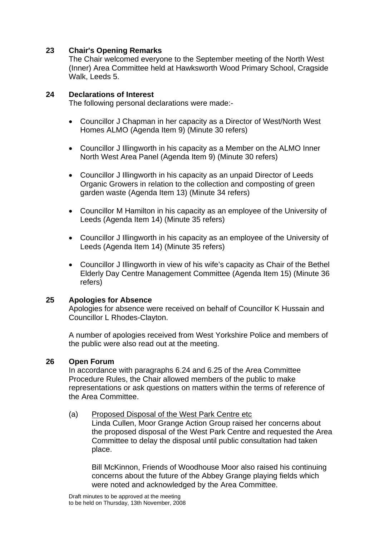#### **23 Chair's Opening Remarks**

The Chair welcomed everyone to the September meeting of the North West (Inner) Area Committee held at Hawksworth Wood Primary School, Cragside Walk, Leeds 5.

#### **24 Declarations of Interest**

The following personal declarations were made:-

- Councillor J Chapman in her capacity as a Director of West/North West Homes ALMO (Agenda Item 9) (Minute 30 refers)
- Councillor J Illingworth in his capacity as a Member on the ALMO Inner North West Area Panel (Agenda Item 9) (Minute 30 refers)
- Councillor J Illingworth in his capacity as an unpaid Director of Leeds Organic Growers in relation to the collection and composting of green garden waste (Agenda Item 13) (Minute 34 refers)
- Councillor M Hamilton in his capacity as an employee of the University of Leeds (Agenda Item 14) (Minute 35 refers)
- Councillor J Illingworth in his capacity as an employee of the University of Leeds (Agenda Item 14) (Minute 35 refers)
- Councillor J Illingworth in view of his wife's capacity as Chair of the Bethel Elderly Day Centre Management Committee (Agenda Item 15) (Minute 36 refers)

#### **25 Apologies for Absence**

Apologies for absence were received on behalf of Councillor K Hussain and Councillor L Rhodes-Clayton.

A number of apologies received from West Yorkshire Police and members of the public were also read out at the meeting.

#### **26 Open Forum**

In accordance with paragraphs 6.24 and 6.25 of the Area Committee Procedure Rules, the Chair allowed members of the public to make representations or ask questions on matters within the terms of reference of the Area Committee.

#### (a) Proposed Disposal of the West Park Centre etc

Linda Cullen, Moor Grange Action Group raised her concerns about the proposed disposal of the West Park Centre and requested the Area Committee to delay the disposal until public consultation had taken place.

Bill McKinnon, Friends of Woodhouse Moor also raised his continuing concerns about the future of the Abbey Grange playing fields which were noted and acknowledged by the Area Committee.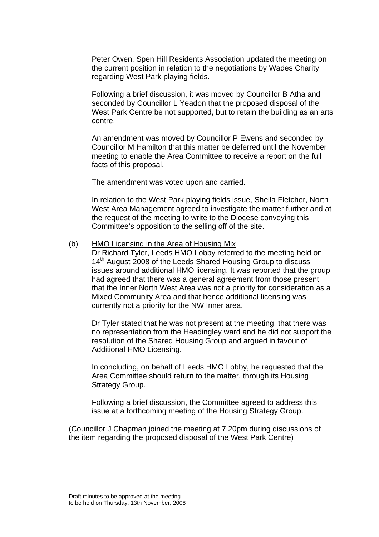Peter Owen, Spen Hill Residents Association updated the meeting on the current position in relation to the negotiations by Wades Charity regarding West Park playing fields.

Following a brief discussion, it was moved by Councillor B Atha and seconded by Councillor L Yeadon that the proposed disposal of the West Park Centre be not supported, but to retain the building as an arts centre.

An amendment was moved by Councillor P Ewens and seconded by Councillor M Hamilton that this matter be deferred until the November meeting to enable the Area Committee to receive a report on the full facts of this proposal.

The amendment was voted upon and carried.

In relation to the West Park playing fields issue, Sheila Fletcher, North West Area Management agreed to investigate the matter further and at the request of the meeting to write to the Diocese conveying this Committee's opposition to the selling off of the site.

#### (b) HMO Licensing in the Area of Housing Mix

Dr Richard Tyler, Leeds HMO Lobby referred to the meeting held on 14<sup>th</sup> August 2008 of the Leeds Shared Housing Group to discuss issues around additional HMO licensing. It was reported that the group had agreed that there was a general agreement from those present that the Inner North West Area was not a priority for consideration as a Mixed Community Area and that hence additional licensing was currently not a priority for the NW Inner area.

Dr Tyler stated that he was not present at the meeting, that there was no representation from the Headingley ward and he did not support the resolution of the Shared Housing Group and argued in favour of Additional HMO Licensing.

In concluding, on behalf of Leeds HMO Lobby, he requested that the Area Committee should return to the matter, through its Housing Strategy Group.

Following a brief discussion, the Committee agreed to address this issue at a forthcoming meeting of the Housing Strategy Group.

(Councillor J Chapman joined the meeting at 7.20pm during discussions of the item regarding the proposed disposal of the West Park Centre)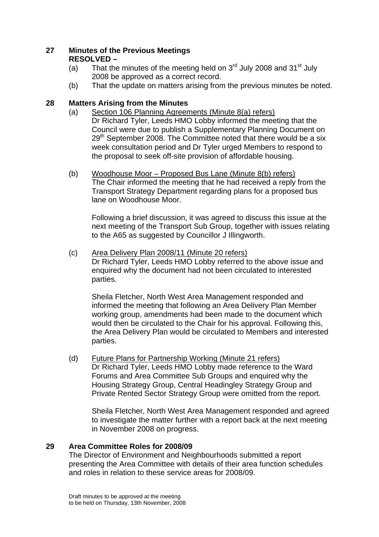## **27 Minutes of the Previous Meetings RESOLVED –**

- (a) That the minutes of the meeting held on  $3<sup>rd</sup>$  July 2008 and  $31<sup>st</sup>$  July 2008 be approved as a correct record.
- (b) That the update on matters arising from the previous minutes be noted.

## **28 Matters Arising from the Minutes**

- (a) Section 106 Planning Agreements (Minute 8(a) refers) Dr Richard Tyler, Leeds HMO Lobby informed the meeting that the Council were due to publish a Supplementary Planning Document on  $29<sup>th</sup>$  September 2008. The Committee noted that there would be a six week consultation period and Dr Tyler urged Members to respond to the proposal to seek off-site provision of affordable housing.
- (b) Woodhouse Moor Proposed Bus Lane (Minute 8(b) refers) The Chair informed the meeting that he had received a reply from the Transport Strategy Department regarding plans for a proposed bus lane on Woodhouse Moor.

Following a brief discussion, it was agreed to discuss this issue at the next meeting of the Transport Sub Group, together with issues relating to the A65 as suggested by Councillor J Illingworth.

(c) Area Delivery Plan 2008/11 (Minute 20 refers) Dr Richard Tyler, Leeds HMO Lobby referred to the above issue and enquired why the document had not been circulated to interested parties.

Sheila Fletcher, North West Area Management responded and informed the meeting that following an Area Delivery Plan Member working group, amendments had been made to the document which would then be circulated to the Chair for his approval. Following this, the Area Delivery Plan would be circulated to Members and interested parties.

(d) Future Plans for Partnership Working (Minute 21 refers) Dr Richard Tyler, Leeds HMO Lobby made reference to the Ward Forums and Area Committee Sub Groups and enquired why the Housing Strategy Group, Central Headingley Strategy Group and Private Rented Sector Strategy Group were omitted from the report.

Sheila Fletcher, North West Area Management responded and agreed to investigate the matter further with a report back at the next meeting in November 2008 on progress.

## **29 Area Committee Roles for 2008/09**

The Director of Environment and Neighbourhoods submitted a report presenting the Area Committee with details of their area function schedules and roles in relation to these service areas for 2008/09.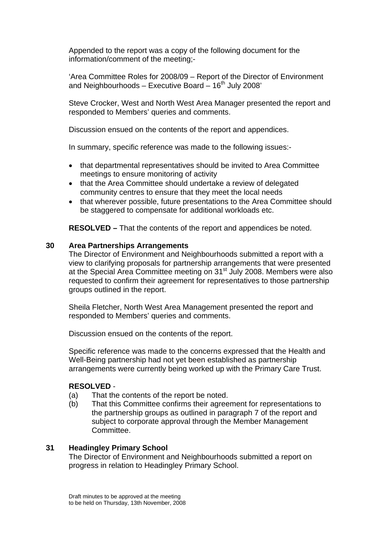Appended to the report was a copy of the following document for the information/comment of the meeting;-

'Area Committee Roles for 2008/09 – Report of the Director of Environment and Neighbourhoods – Executive Board –  $16<sup>th</sup>$  July 2008'

Steve Crocker, West and North West Area Manager presented the report and responded to Members' queries and comments.

Discussion ensued on the contents of the report and appendices.

In summary, specific reference was made to the following issues:-

- that departmental representatives should be invited to Area Committee meetings to ensure monitoring of activity
- that the Area Committee should undertake a review of delegated community centres to ensure that they meet the local needs
- that wherever possible, future presentations to the Area Committee should be staggered to compensate for additional workloads etc.

**RESOLVED –** That the contents of the report and appendices be noted.

#### **30 Area Partnerships Arrangements**

The Director of Environment and Neighbourhoods submitted a report with a view to clarifying proposals for partnership arrangements that were presented at the Special Area Committee meeting on 31<sup>st</sup> July 2008. Members were also requested to confirm their agreement for representatives to those partnership groups outlined in the report.

Sheila Fletcher, North West Area Management presented the report and responded to Members' queries and comments.

Discussion ensued on the contents of the report.

Specific reference was made to the concerns expressed that the Health and Well-Being partnership had not yet been established as partnership arrangements were currently being worked up with the Primary Care Trust.

#### **RESOLVED** -

- (a) That the contents of the report be noted.
- (b) That this Committee confirms their agreement for representations to the partnership groups as outlined in paragraph 7 of the report and subject to corporate approval through the Member Management **Committee.**

#### **31 Headingley Primary School**

The Director of Environment and Neighbourhoods submitted a report on progress in relation to Headingley Primary School.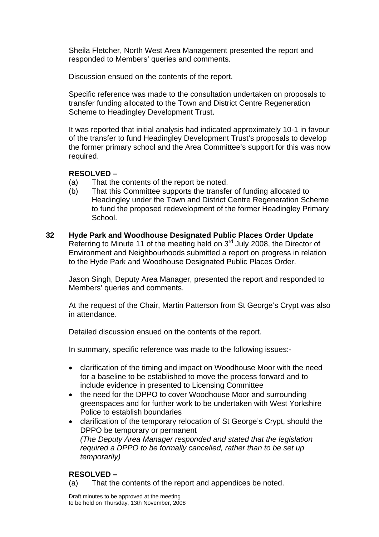Sheila Fletcher, North West Area Management presented the report and responded to Members' queries and comments.

Discussion ensued on the contents of the report.

Specific reference was made to the consultation undertaken on proposals to transfer funding allocated to the Town and District Centre Regeneration Scheme to Headingley Development Trust.

It was reported that initial analysis had indicated approximately 10-1 in favour of the transfer to fund Headingley Development Trust's proposals to develop the former primary school and the Area Committee's support for this was now required.

#### **RESOLVED –**

- (a) That the contents of the report be noted.
- (b) That this Committee supports the transfer of funding allocated to Headingley under the Town and District Centre Regeneration Scheme to fund the proposed redevelopment of the former Headingley Primary School.
- **32 Hyde Park and Woodhouse Designated Public Places Order Update**  Referring to Minute 11 of the meeting held on 3<sup>rd</sup> July 2008, the Director of Environment and Neighbourhoods submitted a report on progress in relation to the Hyde Park and Woodhouse Designated Public Places Order.

Jason Singh, Deputy Area Manager, presented the report and responded to Members' queries and comments.

At the request of the Chair, Martin Patterson from St George's Crypt was also in attendance.

Detailed discussion ensued on the contents of the report.

In summary, specific reference was made to the following issues:-

- clarification of the timing and impact on Woodhouse Moor with the need for a baseline to be established to move the process forward and to include evidence in presented to Licensing Committee
- the need for the DPPO to cover Woodhouse Moor and surrounding greenspaces and for further work to be undertaken with West Yorkshire Police to establish boundaries
- clarification of the temporary relocation of St George's Crypt, should the DPPO be temporary or permanent *(The Deputy Area Manager responded and stated that the legislation required a DPPO to be formally cancelled, rather than to be set up temporarily)*

## **RESOLVED –**

(a) That the contents of the report and appendices be noted.

Draft minutes to be approved at the meeting to be held on Thursday, 13th November, 2008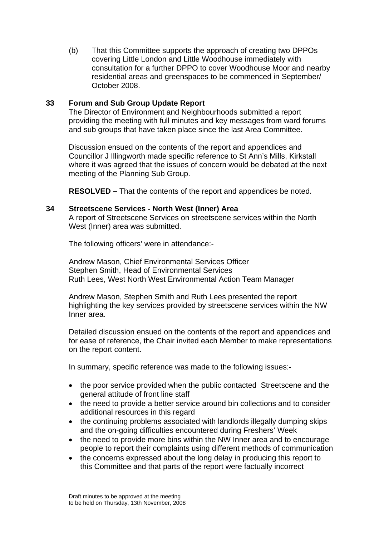(b) That this Committee supports the approach of creating two DPPOs covering Little London and Little Woodhouse immediately with consultation for a further DPPO to cover Woodhouse Moor and nearby residential areas and greenspaces to be commenced in September/ October 2008.

#### **33 Forum and Sub Group Update Report**

The Director of Environment and Neighbourhoods submitted a report providing the meeting with full minutes and key messages from ward forums and sub groups that have taken place since the last Area Committee.

Discussion ensued on the contents of the report and appendices and Councillor J Illingworth made specific reference to St Ann's Mills, Kirkstall where it was agreed that the issues of concern would be debated at the next meeting of the Planning Sub Group.

**RESOLVED –** That the contents of the report and appendices be noted.

#### **34 Streetscene Services - North West (Inner) Area**

A report of Streetscene Services on streetscene services within the North West (Inner) area was submitted.

The following officers' were in attendance:-

Andrew Mason, Chief Environmental Services Officer Stephen Smith, Head of Environmental Services Ruth Lees, West North West Environmental Action Team Manager

Andrew Mason, Stephen Smith and Ruth Lees presented the report highlighting the key services provided by streetscene services within the NW Inner area.

Detailed discussion ensued on the contents of the report and appendices and for ease of reference, the Chair invited each Member to make representations on the report content.

In summary, specific reference was made to the following issues:-

- the poor service provided when the public contacted Streetscene and the general attitude of front line staff
- the need to provide a better service around bin collections and to consider additional resources in this regard
- the continuing problems associated with landlords illegally dumping skips and the on-going difficulties encountered during Freshers' Week
- the need to provide more bins within the NW Inner area and to encourage people to report their complaints using different methods of communication
- the concerns expressed about the long delay in producing this report to this Committee and that parts of the report were factually incorrect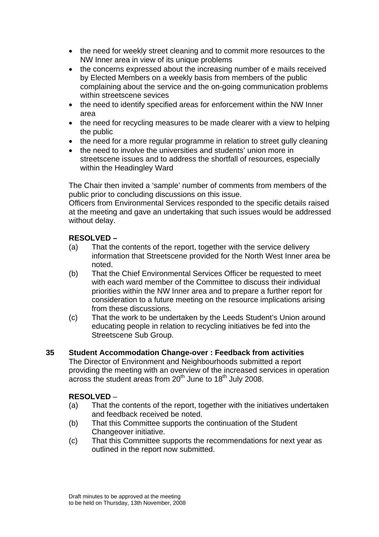- the need for weekly street cleaning and to commit more resources to the NW Inner area in view of its unique problems
- the concerns expressed about the increasing number of e mails received by Elected Members on a weekly basis from members of the public complaining about the service and the on-going communication problems within streetscene sevices
- the need to identify specified areas for enforcement within the NW Inner area
- the need for recycling measures to be made clearer with a view to helping the public
- the need for a more regular programme in relation to street gully cleaning
- the need to involve the universities and students' union more in streetscene issues and to address the shortfall of resources, especially within the Headingley Ward

The Chair then invited a 'sample' number of comments from members of the public prior to concluding discussions on this issue.

Officers from Environmental Services responded to the specific details raised at the meeting and gave an undertaking that such issues would be addressed without delay.

## **RESOLVED –**

- (a) That the contents of the report, together with the service delivery information that Streetscene provided for the North West Inner area be noted.
- (b) That the Chief Environmental Services Officer be requested to meet with each ward member of the Committee to discuss their individual priorities within the NW Inner area and to prepare a further report for consideration to a future meeting on the resource implications arising from these discussions.
- (c) That the work to be undertaken by the Leeds Student's Union around educating people in relation to recycling initiatives be fed into the Streetscene Sub Group.

#### **35 Student Accommodation Change-over : Feedback from activities**

The Director of Environment and Neighbourhoods submitted a report providing the meeting with an overview of the increased services in operation across the student areas from 20<sup>th</sup> June to 18<sup>th</sup> July 2008.

## **RESOLVED** –

- (a) That the contents of the report, together with the initiatives undertaken and feedback received be noted.
- (b) That this Committee supports the continuation of the Student Changeover initiative.
- (c) That this Committee supports the recommendations for next year as outlined in the report now submitted.